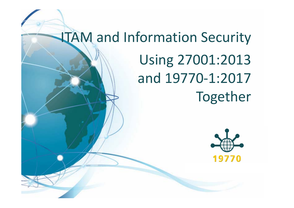### ITAM and Information Security

# Using 27001:2013 and 19770‐1:2017 Together

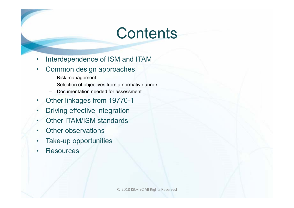### **Contents**

- •Interdependence of ISM and ITAM
- $\bullet$  Common design approaches
	- –Risk management
	- –Selection of objectives from a normative annex
	- Documentation needed for assessment
- $\bullet$ Other linkages from 19770-1
- •Driving effective integration
- •Other ITAM/ISM standards
- •Other observations
- $\bullet$ Take-up opportunities
- •**Resources**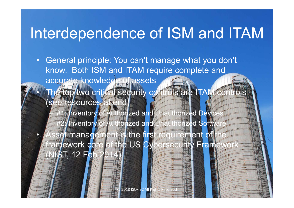### Interdependence of ISM and ITAM

- General principle: You can't manage what you don't know. Both ISM and ITAM require complete and accurate knowledge of assets
	- The top two critical security controls are ITAM control (see resources at end)

 $\bullet$ 

- –#1: Inventory of Authorized and Unauthorized Devices #2: Inventory of Authorized and Unauthorized Software
- $\bullet$ Asset management is the first requirement of the framework core of the US Cybersecurity Framework NI**S**T, 12 Feb 2014

2018 ISO/IEC All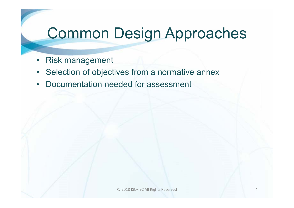## Common Design Approaches

- •Risk management
- $\bullet$ Selection of objectives from a normative annex
- •Documentation needed for assessment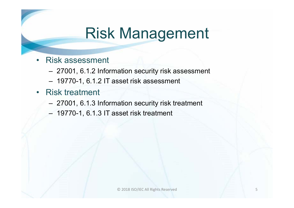# Risk Management

- • Risk assessment
	- 27001, 6.1.2 Information security risk assessment
	- 19770-1, 6.1.2 IT asset risk assessment
- • Risk treatment
	- 27001, 6.1.3 Information security risk treatment
	- 19770-1, 6.1.3 IT asset risk treatment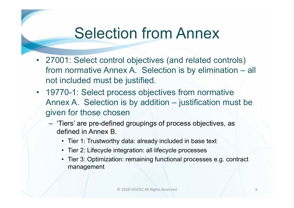## Selection from Annex

- 27001: Select control objectives (and related controls) from normative Annex A. Selection is by elimination – all not included must be justified.
- 19770-1: Select process objectives from normative Annex A. Selection is by addition – justification must be given for those chosen
	- 'Tiers' are pre-defined groupings of process objectives, as defined in Annex B.
		- Tier 1: Trustworthy data: already included in base text
		- Tier 2: Lifecycle integration: all lifecycle processes
		- Tier 3: Optimization: remaining functional processes e.g. contract management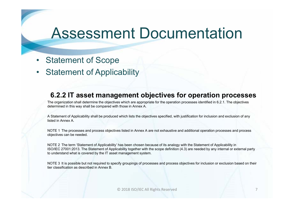### Assessment Documentation

- •Statement of Scope
- •Statement of Applicability

#### **6.2.2 IT asset management objectives for operation processes**

The organization shall determine the objectives which are appropriate for the operation processes identified in 6.2.1. The objectives determined in this way shall be compared with those in Annex A.

A Statement of Applicability shall be produced which lists the objectives specified, with justification for inclusion and exclusion of any listed in Annex A.

NOTE 1 The processes and process objectives listed in Annex A are not exhaustive and additional operation processes and process objectives can be needed.

NOTE 2 The term 'Statement of Applicability' has been chosen because of its analogy with the Statement of Applicability in ISO/IEC 27001:2013. The Statement of Applicability together with the scope definition (4.3) are needed by any internal or external party to understand what is covered by the IT asset management system.

NOTE 3 It is possible but not required to specify groupings of processes and process objectives for inclusion or exclusion based on their tier classification as described in Annex B.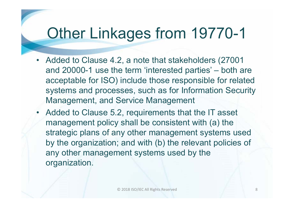### Other Linkages from 19770-1

- Added to Clause 4.2, a note that stakeholders (27001 and 20000-1 use the term 'interested parties' – both are acceptable for ISO) include those responsible for related systems and processes, such as for Information Security Management, and Service Management
- Added to Clause 5.2, requirements that the IT asset management policy shall be consistent with (a) the strategic plans of any other management systems used by the organization; and with (b) the relevant policies of any other management systems used by the organization.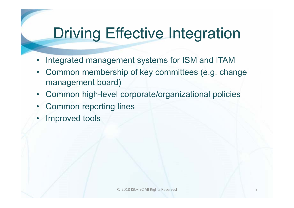## Driving Effective Integration

- •Integrated management systems for ISM and ITAM
- $\bullet$  Common membership of key committees (e.g. change management board)
- •Common high-level corporate/organizational policies
- •Common reporting lines
- •Improved tools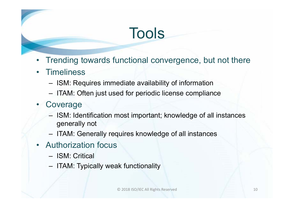# Tools

- •Trending towards functional convergence, but not there
- $\bullet$ **Timeliness** 
	- ISM: Requires immediate availability of information
	- ITAM: Often just used for periodic license compliance
- Coverage
	- ISM: Identification most important; knowledge of all instances generally not
	- ITAM: Generally requires knowledge of all instances
- Authorization focus
	- ISM: Critical
	- ITAM: Typically weak functionality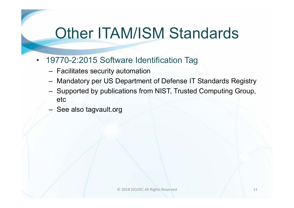## Other ITAM/ISM Standards

- $\bullet$  19770-2:2015 Software Identification Tag
	- Facilitates security automation
	- Mandatory per US Department of Defense IT Standards Registry
	- Supported by publications from NIST, Trusted Computing Group, etc
	- See also tagvault.org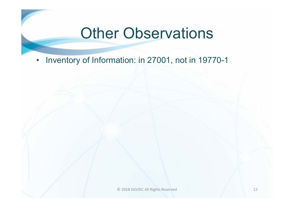## **Other Observations**

• Inventory of Information: in 27001, not in 19770-1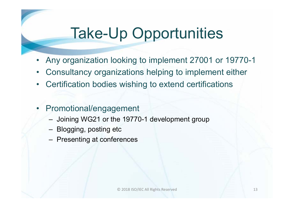# Take-Up Opportunities

- •Any organization looking to implement 27001 or 19770-1
- •Consultancy organizations helping to implement either
- $\bullet$ Certification bodies wishing to extend certifications
- • Promotional/engagement
	- Joining WG21 or the 19770-1 development group
	- Blogging, posting etc
	- Presenting at conferences